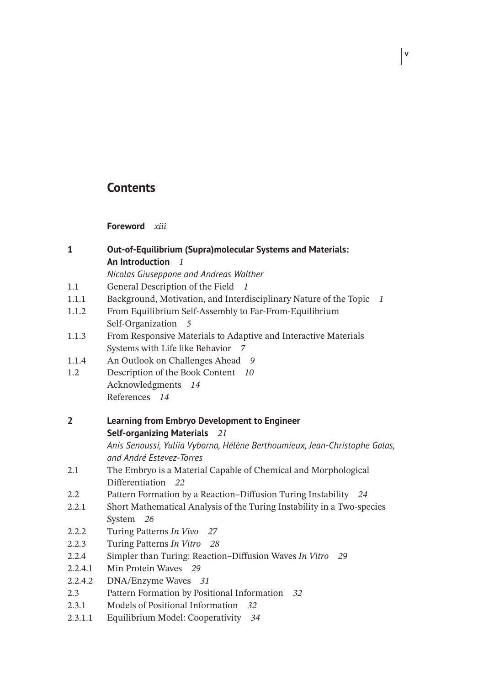## **Contents**

**Foreword** *xiii*

| <b>Out-of-Equilibrium (Supra)molecular Systems and Materials:</b> |  |  |
|-------------------------------------------------------------------|--|--|
| An Introduction                                                   |  |  |

*Nicolas Giuseppone and Andreas Walther*

- 1.1 General Description of the Field *1*
- 1.1.1 Background, Motivation, and Interdisciplinary Nature of the Topic *1*

**v**

- 1.1.2 From Equilibrium Self-Assembly to Far-From-Equilibrium Self-Organization *5*
- 1.1.3 From Responsive Materials to Adaptive and Interactive Materials Systems with Life like Behavior *7*
- 1.1.4 An Outlook on Challenges Ahead *9*
- 1.2 Description of the Book Content *10* Acknowledgments *14* References *14*
- **2 Learning from Embryo Development to Engineer Self-organizing Materials** *21 Anis Senoussi, Yuliia Vyborna, Hélène Berthoumieux, Jean-Christophe Galas,*

*and André Estevez-Torres*

- 2.1 The Embryo is a Material Capable of Chemical and Morphological Differentiation *22*
- 2.2 Pattern Formation by a Reaction–Diffusion Turing Instability *24*
- 2.2.1 Short Mathematical Analysis of the Turing Instability in a Two-species System *26*
- 2.2.2 Turing Patterns *In Vivo 27*
- 2.2.3 Turing Patterns *In Vitro 28*
- 2.2.4 Simpler than Turing: Reaction–Diffusion Waves *In Vitro 29*
- 2.2.4.1 Min Protein Waves *29*
- 2.2.4.2 DNA/Enzyme Waves *31*
- 2.3 Pattern Formation by Positional Information *32*
- 2.3.1 Models of Positional Information *32*
- 2.3.1.1 Equilibrium Model: Cooperativity *34*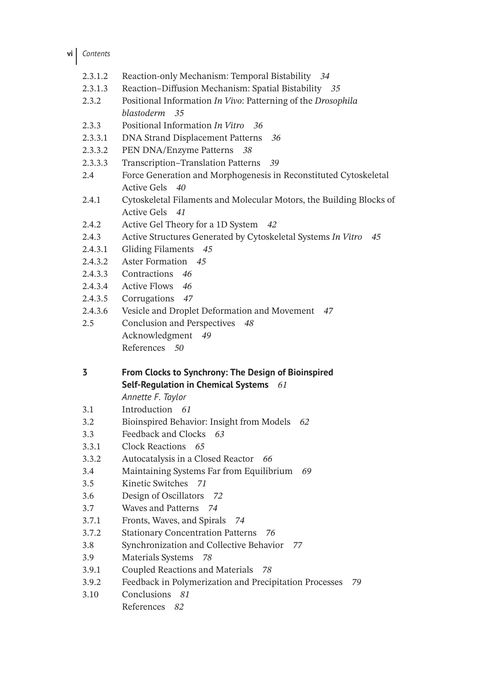**vi** *Contents*

- 2.3.1.2 Reaction-only Mechanism: Temporal Bistability *34*
- 2.3.1.3 Reaction–Diffusion Mechanism: Spatial Bistability *35*
- 2.3.2 Positional Information *In Vivo*: Patterning of the *Drosophila blastoderm 35*
- 2.3.3 Positional Information *In Vitro 36*
- 2.3.3.1 DNA Strand Displacement Patterns *36*
- 2.3.3.2 PEN DNA/Enzyme Patterns *38*
- 2.3.3.3 Transcription–Translation Patterns *39*
- 2.4 Force Generation and Morphogenesis in Reconstituted Cytoskeletal Active Gels *40*
- 2.4.1 Cytoskeletal Filaments and Molecular Motors, the Building Blocks of Active Gels *41*
- 2.4.2 Active Gel Theory for a 1D System *42*
- 2.4.3 Active Structures Generated by Cytoskeletal Systems *In Vitro 45*
- 2.4.3.1 Gliding Filaments *45*
- 2.4.3.2 Aster Formation *45*
- 2.4.3.3 Contractions *46*
- 2.4.3.4 Active Flows *46*
- 2.4.3.5 Corrugations *47*
- 2.4.3.6 Vesicle and Droplet Deformation and Movement *47*
- 2.5 Conclusion and Perspectives *48* Acknowledgment *49* References *50*
- **3 From Clocks to Synchrony: The Design of Bioinspired Self-Regulation in Chemical Systems** *61*

*Annette F. Taylor*

- 3.1 Introduction *61*
- 3.2 Bioinspired Behavior: Insight from Models *62*
- 3.3 Feedback and Clocks *63*
- 3.3.1 Clock Reactions *65*
- 3.3.2 Autocatalysis in a Closed Reactor *66*
- 3.4 Maintaining Systems Far from Equilibrium *69*
- 3.5 Kinetic Switches *71*
- 3.6 Design of Oscillators *72*
- 3.7 Waves and Patterns *74*
- 3.7.1 Fronts, Waves, and Spirals *74*
- 3.7.2 Stationary Concentration Patterns *76*
- 3.8 Synchronization and Collective Behavior *77*
- 3.9 Materials Systems *78*
- 3.9.1 Coupled Reactions and Materials *78*
- 3.9.2 Feedback in Polymerization and Precipitation Processes *79*
- 3.10 Conclusions *81*
	- References *82*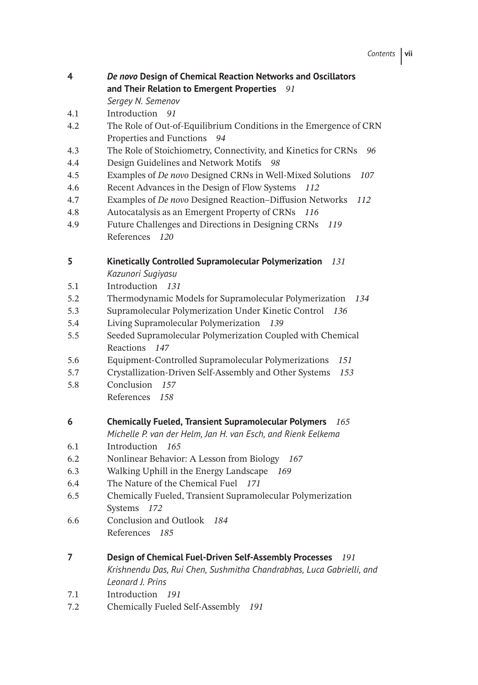| 4 | De novo Design of Chemical Reaction Networks and Oscillators |  |
|---|--------------------------------------------------------------|--|
|   | and Their Relation to Emergent Properties 91                 |  |

*Sergey N. Semenov*

- 4.1 Introduction *91*
- 4.2 The Role of Out-of-Equilibrium Conditions in the Emergence of CRN Properties and Functions *94*
- 4.3 The Role of Stoichiometry, Connectivity, and Kinetics for CRNs *96*
- 4.4 Design Guidelines and Network Motifs *98*
- 4.5 Examples of *De novo* Designed CRNs in Well-Mixed Solutions *107*
- 4.6 Recent Advances in the Design of Flow Systems *112*
- 4.7 Examples of *De novo* Designed Reaction–Diffusion Networks *112*
- 4.8 Autocatalysis as an Emergent Property of CRNs *116*
- 4.9 Future Challenges and Directions in Designing CRNs *119* References *120*

## **5 Kinetically Controlled Supramolecular Polymerization** *131*

*Kazunori Sugiyasu*

- 5.1 Introduction *131*
- 5.2 Thermodynamic Models for Supramolecular Polymerization *134*
- 5.3 Supramolecular Polymerization Under Kinetic Control *136*
- 5.4 Living Supramolecular Polymerization *139*
- 5.5 Seeded Supramolecular Polymerization Coupled with Chemical Reactions *147*
- 5.6 Equipment-Controlled Supramolecular Polymerizations *151*
- 5.7 Crystallization-Driven Self-Assembly and Other Systems *153*
- 5.8 Conclusion *157* References *158*
- **6 Chemically Fueled, Transient Supramolecular Polymers** *165*
	- *Michelle P. van der Helm, Jan H. van Esch, and Rienk Eelkema*
- 6.1 Introduction *165*
- 6.2 Nonlinear Behavior: A Lesson from Biology *167*
- 6.3 Walking Uphill in the Energy Landscape *169*
- 6.4 The Nature of the Chemical Fuel *171*
- 6.5 Chemically Fueled, Transient Supramolecular Polymerization Systems *172*
- 6.6 Conclusion and Outlook *184* References *185*
- **7 Design of Chemical Fuel-Driven Self-Assembly Processes** *191 Krishnendu Das, Rui Chen, Sushmitha Chandrabhas, Luca Gabrielli, and*
- *Leonard J. Prins*
- 7.1 Introduction *191*
- 7.2 Chemically Fueled Self-Assembly *191*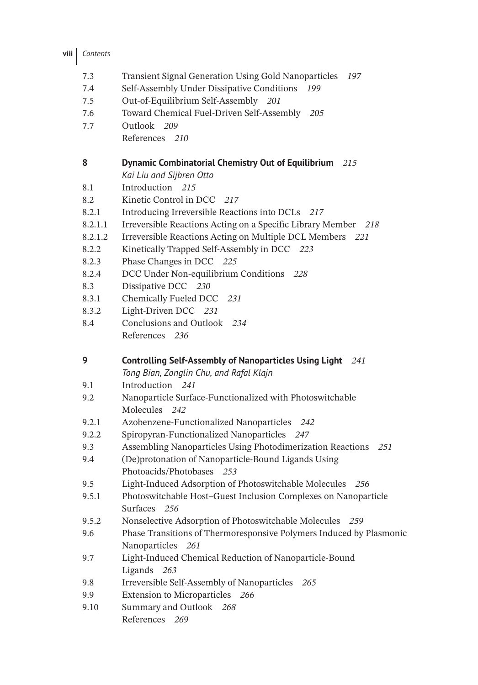- 7.3 Transient Signal Generation Using Gold Nanoparticles *197*
- 7.4 Self-Assembly Under Dissipative Conditions *199*
- 7.5 Out-of-Equilibrium Self-Assembly *201*
- 7.6 Toward Chemical Fuel-Driven Self-Assembly *205*
- 7.7 Outlook *209*
	- References *210*

## **8 Dynamic Combinatorial Chemistry Out of Equilibrium** *215 Kai Liu and Sijbren Otto*

- 8.1 Introduction *215*
- 8.2 Kinetic Control in DCC *217*
- 8.2.1 Introducing Irreversible Reactions into DCLs *217*
- 8.2.1.1 Irreversible Reactions Acting on a Specific Library Member *218*
- 8.2.1.2 Irreversible Reactions Acting on Multiple DCL Members *221*
- 8.2.2 Kinetically Trapped Self-Assembly in DCC *223*
- 8.2.3 Phase Changes in DCC *225*
- 8.2.4 DCC Under Non-equilibrium Conditions *228*
- 8.3 Dissipative DCC *230*
- 8.3.1 Chemically Fueled DCC *231*
- 8.3.2 Light-Driven DCC *231*
- 8.4 Conclusions and Outlook *234* References *236*

**9 Controlling Self-Assembly of Nanoparticles Using Light** *241*

*Tong Bian, Zonglin Chu, and Rafal Klajn*

- 9.1 Introduction *241*
- 9.2 Nanoparticle Surface-Functionalized with Photoswitchable Molecules *242*
- 9.2.1 Azobenzene-Functionalized Nanoparticles *242*
- 9.2.2 Spiropyran-Functionalized Nanoparticles *247*
- 9.3 Assembling Nanoparticles Using Photodimerization Reactions *251*
- 9.4 (De)protonation of Nanoparticle-Bound Ligands Using Photoacids/Photobases *253*
- 9.5 Light-Induced Adsorption of Photoswitchable Molecules *256*
- 9.5.1 Photoswitchable Host–Guest Inclusion Complexes on Nanoparticle Surfaces *256*
- 9.5.2 Nonselective Adsorption of Photoswitchable Molecules *259*
- 9.6 Phase Transitions of Thermoresponsive Polymers Induced by Plasmonic Nanoparticles *261*
- 9.7 Light-Induced Chemical Reduction of Nanoparticle-Bound Ligands *263*
- 9.8 Irreversible Self-Assembly of Nanoparticles *265*
- 9.9 Extension to Microparticles *266*
- 9.10 Summary and Outlook *268* References *269*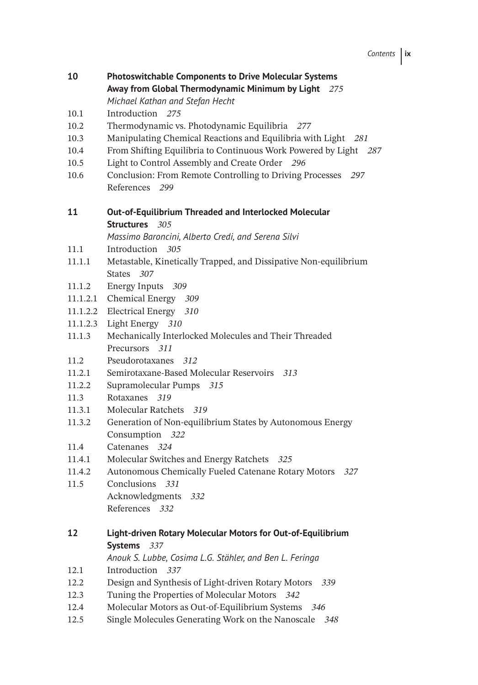| 10       | <b>Photoswitchable Components to Drive Molecular Systems</b><br>Away from Global Thermodynamic Minimum by Light 275<br>Michael Kathan and Stefan Hecht |  |
|----------|--------------------------------------------------------------------------------------------------------------------------------------------------------|--|
| 10.1     | Introduction 275                                                                                                                                       |  |
| 10.2     | Thermodynamic vs. Photodynamic Equilibria 277                                                                                                          |  |
| 10.3     | Manipulating Chemical Reactions and Equilibria with Light 281                                                                                          |  |
| 10.4     | From Shifting Equilibria to Continuous Work Powered by Light 287                                                                                       |  |
| 10.5     | Light to Control Assembly and Create Order 296                                                                                                         |  |
| 10.6     | Conclusion: From Remote Controlling to Driving Processes<br>297<br>References 299                                                                      |  |
| 11       | Out-of-Equilibrium Threaded and Interlocked Molecular                                                                                                  |  |
|          | <b>Structures</b> 305                                                                                                                                  |  |
|          | Massimo Baroncini, Alberto Credi, and Serena Silvi                                                                                                     |  |
| 11.1     | Introduction 305                                                                                                                                       |  |
| 11.1.1   | Metastable, Kinetically Trapped, and Dissipative Non-equilibrium<br>States 307                                                                         |  |
| 11.1.2   | <b>Energy Inputs</b><br>- 309                                                                                                                          |  |
| 11.1.2.1 | Chemical Energy 309                                                                                                                                    |  |
| 11.1.2.2 | Electrical Energy 310                                                                                                                                  |  |
| 11.1.2.3 | Light Energy 310                                                                                                                                       |  |
| 11.1.3   | Mechanically Interlocked Molecules and Their Threaded                                                                                                  |  |
|          | Precursors 311                                                                                                                                         |  |
| 11.2     | Pseudorotaxanes 312                                                                                                                                    |  |
| 11.2.1   | Semirotaxane-Based Molecular Reservoirs 313                                                                                                            |  |
| 11.2.2   | Supramolecular Pumps 315                                                                                                                               |  |
| 11.3     | Rotaxanes 319                                                                                                                                          |  |
| 11.3.1   | Molecular Ratchets<br>319                                                                                                                              |  |
| 11.3.2   | Generation of Non-equilibrium States by Autonomous Energy                                                                                              |  |
|          | Consumption 322                                                                                                                                        |  |
| 11.4     | Catenanes 324                                                                                                                                          |  |
| 11.4.1   | Molecular Switches and Energy Ratchets 325                                                                                                             |  |
| 11.4.2   | Autonomous Chemically Fueled Catenane Rotary Motors<br>327                                                                                             |  |
| 11.5     | Conclusions<br>331                                                                                                                                     |  |
|          | Acknowledgments 332                                                                                                                                    |  |
|          | References 332                                                                                                                                         |  |
| 12       | Light-driven Rotary Molecular Motors for Out-of-Equilibrium<br>Systems 337                                                                             |  |
|          | Anouk S. Lubbe, Cosima L.G. Stähler, and Ben L. Feringa                                                                                                |  |
| 12.1     | Introduction<br>337                                                                                                                                    |  |
| 12.2     | Design and Synthesis of Light-driven Rotary Motors<br>339                                                                                              |  |
| 12.3     | Tuning the Properties of Molecular Motors<br>342                                                                                                       |  |
| 12.4     | Molecular Motors as Out-of-Equilibrium Systems 346                                                                                                     |  |
| 12.5     | Single Molecules Generating Work on the Nanoscale<br>348                                                                                               |  |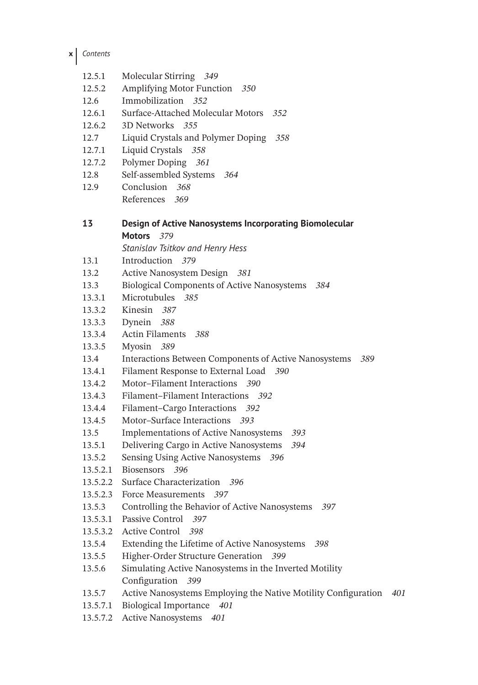| x | Contents |
|---|----------|
|   |          |

- 12.5.1 Molecular Stirring *349*
- 12.5.2 Amplifying Motor Function *350*
- 12.6 Immobilization *352*
- 12.6.1 Surface-Attached Molecular Motors *352*
- 12.6.2 3D Networks *355*
- 12.7 Liquid Crystals and Polymer Doping *358*
- 12.7.1 Liquid Crystals *358*
- 12.7.2 Polymer Doping *361*
- 12.8 Self-assembled Systems *364*
- 12.9 Conclusion *368* References *369*

## **13 Design of Active Nanosystems Incorporating Biomolecular Motors** *379*

*Stanislav Tsitkov and Henry Hess*

- 13.1 Introduction *379*
- 13.2 Active Nanosystem Design *381*
- 13.3 Biological Components of Active Nanosystems *384*
- 13.3.1 Microtubules *385*
- 13.3.2 Kinesin *387*
- 13.3.3 Dynein *388*
- 13.3.4 Actin Filaments *388*
- 13.3.5 Myosin *389*
- 13.4 Interactions Between Components of Active Nanosystems *389*
- 13.4.1 Filament Response to External Load *390*
- 13.4.2 Motor–Filament Interactions *390*
- 13.4.3 Filament–Filament Interactions *392*
- 13.4.4 Filament–Cargo Interactions *392*
- 13.4.5 Motor–Surface Interactions *393*
- 13.5 Implementations of Active Nanosystems *393*
- 13.5.1 Delivering Cargo in Active Nanosystems *394*
- 13.5.2 Sensing Using Active Nanosystems *396*
- 13.5.2.1 Biosensors *396*
- 13.5.2.2 Surface Characterization *396*
- 13.5.2.3 Force Measurements *397*
- 13.5.3 Controlling the Behavior of Active Nanosystems *397*
- 13.5.3.1 Passive Control *397*
- 13.5.3.2 Active Control *398*
- 13.5.4 Extending the Lifetime of Active Nanosystems *398*
- 13.5.5 Higher-Order Structure Generation *399*
- 13.5.6 Simulating Active Nanosystems in the Inverted Motility Configuration *399*
- 13.5.7 Active Nanosystems Employing the Native Motility Configuration *401*
- 13.5.7.1 Biological Importance *401*
- 13.5.7.2 Active Nanosystems *401*